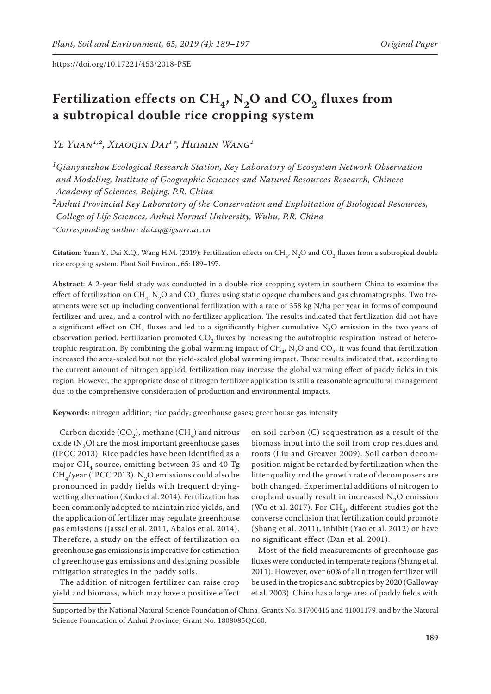# Fertilization effects on  $CH_{4}$ , N<sub>2</sub>O and CO<sub>2</sub> fluxes from **a subtropical double rice cropping system**

*Ye Yuan1,2, Xiaoqin Dai1\*, Huimin Wang1*

*1Qianyanzhou Ecological Research Station, Key Laboratory of Ecosystem Network Observation and Modeling, Institute of Geographic Sciences and Natural Resources Research, Chinese Academy of Sciences, Beijing, P.R. China*

*2Anhui Provincial Key Laboratory of the Conservation and Exploitation of Biological Resources,* 

*College of Life Sciences, Anhui Normal University, Wuhu, P.R. China*

*\*Corresponding author: daixq@igsnrr.ac.cn*

**Citation**: Yuan Y., Dai X.Q., Wang H.M. (2019): Fertilization effects on  $CH_4$ , N<sub>2</sub>O and CO<sub>2</sub> fluxes from a subtropical double rice cropping system. Plant Soil Environ., 65: 189–197.

**Abstract**: A 2-year field study was conducted in a double rice cropping system in southern China to examine the effect of fertilization on  $CH<sub>a</sub>$ , N<sub>2</sub>O and CO<sub>2</sub> fluxes using static opaque chambers and gas chromatographs. Two treatments were set up including conventional fertilization with a rate of 358 kg N/ha per year in forms of compound fertilizer and urea, and a control with no fertilizer application. The results indicated that fertilization did not have a significant effect on CH<sub>4</sub> fluxes and led to a significantly higher cumulative N<sub>2</sub>O emission in the two years of observation period. Fertilization promoted CO<sub>2</sub> fluxes by increasing the autotrophic respiration instead of heterotrophic respiration. By combining the global warming impact of  $CH_a$ , N<sub>2</sub>O and CO<sub>2</sub>, it was found that fertilization increased the area-scaled but not the yield-scaled global warming impact. These results indicated that, according to the current amount of nitrogen applied, fertilization may increase the global warming effect of paddy fields in this region. However, the appropriate dose of nitrogen fertilizer application is still a reasonable agricultural management due to the comprehensive consideration of production and environmental impacts.

**Keywords**: nitrogen addition; rice paddy; greenhouse gases; greenhouse gas intensity

Carbon dioxide (CO<sub>2</sub>), methane (CH<sub>4</sub>) and nitrous oxide  $(N_2O)$  are the most important greenhouse gases (IPCC 2013). Rice paddies have been identified as a major  $CH<sub>4</sub>$  source, emitting between 33 and 40 Tg CH<sub>4</sub>/year (IPCC 2013). N<sub>2</sub>O emissions could also be pronounced in paddy fields with frequent dryingwetting alternation (Kudo et al. 2014). Fertilization has been commonly adopted to maintain rice yields, and the application of fertilizer may regulate greenhouse gas emissions (Jassal et al. 2011, Abalos et al. 2014). Therefore, a study on the effect of fertilization on greenhouse gas emissions is imperative for estimation of greenhouse gas emissions and designing possible mitigation strategies in the paddy soils.

The addition of nitrogen fertilizer can raise crop yield and biomass, which may have a positive effect

on soil carbon (C) sequestration as a result of the biomass input into the soil from crop residues and roots (Liu and Greaver 2009). Soil carbon decomposition might be retarded by fertilization when the litter quality and the growth rate of decomposers are both changed. Experimental additions of nitrogen to cropland usually result in increased  $N<sub>2</sub>O$  emission (Wu et al. 2017). For  $CH<sub>4</sub>$ , different studies got the converse conclusion that fertilization could promote (Shang et al. 2011), inhibit (Yao et al. 2012) or have no significant effect (Dan et al. 2001).

Most of the field measurements of greenhouse gas fluxes were conducted in temperate regions (Shang et al. 2011). However, over 60% of all nitrogen fertilizer will be used in the tropics and subtropics by 2020 (Galloway et al. 2003). China has a large area of paddy fields with

Supported by the National Natural Science Foundation of China, Grants No. 31700415 and 41001179, and by the Natural Science Foundation of Anhui Province, Grant No. 1808085QC60.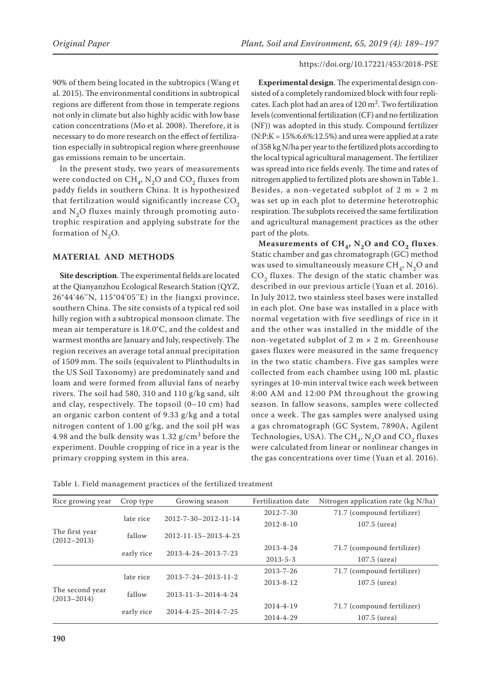90% of them being located in the subtropics (Wang et al. 2015). The environmental conditions in subtropical regions are different from those in temperate regions not only in climate but also highly acidic with low base cation concentrations (Mo et al. 2008). Therefore, it is necessary to do more research on the effect of fertilization especially in subtropical region where greenhouse gas emissions remain to be uncertain.

In the present study, two years of measurements were conducted on  $CH<sub>4</sub>$ , N<sub>2</sub>O and CO<sub>2</sub> fluxes from paddy fields in southern China. It is hypothesized that fertilization would significantly increase  $CO<sub>2</sub>$ and  $N<sub>2</sub>O$  fluxes mainly through promoting autotrophic respiration and applying substrate for the formation of  $N_2O$ .

# **MATERIAL AND METHODS**

**Site description**. The experimental fields are located at the Qianyanzhou Ecological Research Station (QYZ, 26°44'46''N, 115°04'05''E) in the Jiangxi province, southern China. The site consists of a typical red soil hilly region with a subtropical monsoon climate. The mean air temperature is 18.0°C, and the coldest and warmest months are January and July, respectively. The region receives an average total annual precipitation of 1509 mm. The soils (equivalent to Plinthudults in the US Soil Taxonomy) are predominately sand and loam and were formed from alluvial fans of nearby rivers. The soil had 580, 310 and 110 g/kg sand, silt and clay, respectively. The topsoil (0–10 cm) had an organic carbon content of 9.33 g/kg and a total nitrogen content of 1.00 g/kg, and the soil pH was 4.98 and the bulk density was  $1.32$  g/cm<sup>3</sup> before the experiment. Double cropping of rice in a year is the primary cropping system in this area.

**Experimental design**. The experimental design consisted of a completely randomized block with four replicates. Each plot had an area of  $120 \text{ m}^2$ . Two fertilization levels (conventional fertilization (CF) and no fertilization (NF)) was adopted in this study. Compound fertilizer  $(N:P:K = 15\%;6.6\%;12.5\%)$  and urea were applied at a rate of 358 kg N/ha per year to the fertilized plots according to the local typical agricultural management. The fertilizer was spread into rice fields evenly. The time and rates of nitrogen applied to fertilized plots are shown in Table 1. Besides, a non-vegetated subplot of 2 m  $\times$  2 m was set up in each plot to determine heterotrophic respiration. The subplots received the same fertilization and agricultural management practices as the other part of the plots.

Measurements of  $CH<sub>4</sub>$ , N<sub>2</sub>O and CO<sub>2</sub> fluxes. Static chamber and gas chromatograph (GC) method was used to simultaneously measure  $CH<sub>4</sub>$ , N<sub>2</sub>O and CO<sub>2</sub> fluxes. The design of the static chamber was described in our previous article (Yuan et al. 2016). In July 2012, two stainless steel bases were installed in each plot. One base was installed in a place with normal vegetation with five seedlings of rice in it and the other was installed in the middle of the non-vegetated subplot of  $2 m \times 2 m$ . Greenhouse gases fluxes were measured in the same frequency in the two static chambers. Five gas samples were collected from each chamber using 100 mL plastic syringes at 10-min interval twice each week between 8:00 AM and 12:00 PM throughout the growing season. In fallow seasons, samples were collected once a week. The gas samples were analysed using a gas chromatograph (GC System, 7890A, Agilent Technologies, USA). The  $\text{CH}_4$ ,  $\text{N}_2\text{O}$  and  $\text{CO}_2$  fluxes were calculated from linear or nonlinear changes in the gas concentrations over time (Yuan et al. 2016).

Table 1. Field management practices of the fertilized treatment

| Rice growing year                  | Crop type  | Growing season                   | Fertilization date | Nitrogen application rate (kg N/ha) |  |
|------------------------------------|------------|----------------------------------|--------------------|-------------------------------------|--|
|                                    | late rice  | $2012 - 7 - 30 - 2012 - 11 - 14$ | $2012 - 7 - 30$    | 71.7 (compound fertilizer)          |  |
|                                    |            |                                  | $2012 - 8 - 10$    | 107.5 (urea)                        |  |
| The first year<br>$(2012 - 2013)$  | fallow     | $2012 - 11 - 15 - 2013 - 4 - 23$ |                    |                                     |  |
|                                    |            | 2013-4-24-2013-7-23              | $2013 - 4 - 24$    | 71.7 (compound fertilizer)          |  |
|                                    | early rice |                                  | $2013 - 5 - 3$     | 107.5 (urea)                        |  |
| The second year<br>$(2013 - 2014)$ | late rice  | $2013 - 7 - 24 - 2013 - 11 - 2$  | $2013 - 7 - 26$    | 71.7 (compound fertilizer)          |  |
|                                    |            |                                  | $2013 - 8 - 12$    | 107.5 (urea)                        |  |
|                                    | fallow     | $2013 - 11 - 3 - 2014 - 4 - 24$  |                    |                                     |  |
|                                    |            | $2014 - 4 - 25 - 2014 - 7 - 25$  | 2014-4-19          | 71.7 (compound fertilizer)          |  |
|                                    | early rice |                                  | 2014-4-29          | 107.5 (urea)                        |  |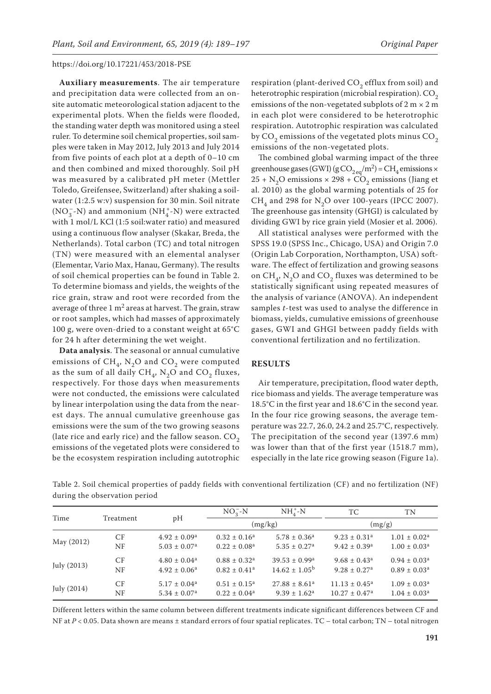**Auxiliary measurements**. The air temperature and precipitation data were collected from an onsite automatic meteorological station adjacent to the experimental plots. When the fields were flooded, the standing water depth was monitored using a steel ruler. To determine soil chemical properties, soil samples were taken in May 2012, July 2013 and July 2014 from five points of each plot at a depth of 0–10 cm and then combined and mixed thoroughly. Soil pH was measured by a calibrated pH meter (Mettler Toledo, Greifensee, Switzerland) after shaking a soilwater (1:2.5 w:v) suspension for 30 min. Soil nitrate  $\mathrm{(NO_3^- - N)}$  and ammonium  $\mathrm{(NH_4^+ - N)}$  were extracted with 1 mol/L KCl (1:5 soil:water ratio) and measured using a continuous flow analyser (Skakar, Breda, the Netherlands). Total carbon (TC) and total nitrogen (TN) were measured with an elemental analyser (Elementar, Vario Max, Hanau, Germany). The results of soil chemical properties can be found in Table 2. To determine biomass and yields, the weights of the rice grain, straw and root were recorded from the average of three  $1 \text{ m}^2$  areas at harvest. The grain, straw or root samples, which had masses of approximately 100 g, were oven-dried to a constant weight at 65°C for 24 h after determining the wet weight.

**Data analysis**. The seasonal or annual cumulative emissions of  $CH_4$ , N<sub>2</sub>O and CO<sub>2</sub> were computed as the sum of all daily  $CH_4$ ,  $N_2O$  and  $CO_2$  fluxes, respectively. For those days when measurements were not conducted, the emissions were calculated by linear interpolation using the data from the nearest days. The annual cumulative greenhouse gas emissions were the sum of the two growing seasons (late rice and early rice) and the fallow season.  $CO<sub>2</sub>$ emissions of the vegetated plots were considered to be the ecosystem respiration including autotrophic

respiration (plant-derived  $CO<sub>2</sub>$  efflux from soil) and heterotrophic respiration (microbial respiration).  $CO<sub>2</sub>$ emissions of the non-vegetated subplots of  $2 m \times 2 m$ in each plot were considered to be heterotrophic respiration. Autotrophic respiration was calculated by  $CO<sub>2</sub>$  emissions of the vegetated plots minus  $CO<sub>2</sub>$ emissions of the non-vegetated plots.

The combined global warming impact of the three greenhouse gases (GWI) (g  $\text{CO}_{2\text{ eq}}/\text{m}^2$ ) =  $\text{CH}_4$  emissions  $\times$  $25 + N_2O$  emissions  $\times 298 + CO_2$  emissions (Jiang et al. 2010) as the global warming potentials of 25 for CH<sub>4</sub> and 298 for N<sub>2</sub>O over 100-years (IPCC 2007). The greenhouse gas intensity (GHGI) is calculated by dividing GWI by rice grain yield (Mosier et al. 2006).

All statistical analyses were performed with the SPSS 19.0 (SPSS Inc., Chicago, USA) and Origin 7.0 (Origin Lab Corporation, Northampton, USA) software. The effect of fertilization and growing seasons on  $CH<sub>4</sub>$ , N<sub>2</sub>O and CO<sub>2</sub> fluxes was determined to be statistically significant using repeated measures of the analysis of variance (ANOVA). An independent samples *t*-test was used to analyse the difference in biomass, yields, cumulative emissions of greenhouse gases, GWI and GHGI between paddy fields with conventional fertilization and no fertilization.

# **RESULTS**

Air temperature, precipitation, flood water depth, rice biomass and yields. The average temperature was 18.5°C in the first year and 18.6°C in the second year. In the four rice growing seasons, the average temperature was 22.7, 26.0, 24.2 and 25.7°C, respectively. The precipitation of the second year (1397.6 mm) was lower than that of the first year (1518.7 mm), especially in the late rice growing season (Figure 1a).

|                               | Table 2. Soil chemical properties of paddy fields with conventional fertilization (CF) and no fertilization (NF) |  |  |  |
|-------------------------------|------------------------------------------------------------------------------------------------------------------|--|--|--|
| during the observation period |                                                                                                                  |  |  |  |

| Time        |           |                              | $NO2 - N$                    | $NH4+-N$                      | TC                           | TN                      |
|-------------|-----------|------------------------------|------------------------------|-------------------------------|------------------------------|-------------------------|
|             | Treatment | рH                           |                              | (mg/kg)                       |                              | (mg/g)                  |
| May (2012)  | CF        | $4.92 \pm 0.09^{\text{a}}$   | $0.32 \pm 0.16^a$            | $5.78 \pm 0.36^a$             | $9.23 \pm 0.31$ <sup>a</sup> | $1.01 \pm 0.02^a$       |
|             | NF        | $5.03 \pm 0.07$ <sup>a</sup> | $0.22 \pm 0.08^{\text{a}}$   | $5.35 \pm 0.27$ <sup>a</sup>  | $9.42 \pm 0.39$ <sup>a</sup> | $1.00 \pm 0.03^a$       |
| July (2013) | CF        | $4.80 \pm 0.04^a$            | $0.88 \pm 0.32$ <sup>a</sup> | $39.53 \pm 0.99^{\rm a}$      | $9.68 \pm 0.43$ <sup>a</sup> | $0.94 \pm 0.03^{\circ}$ |
|             | NF        | $4.92 \pm 0.06^a$            | $0.82 \pm 0.41$ <sup>a</sup> | $14.62 \pm 1.05^{\circ}$      | $9.28 \pm 0.27$ <sup>a</sup> | $0.89 \pm 0.03^{\circ}$ |
| July (2014) | CF        | $5.17 \pm 0.04^a$            | $0.51 \pm 0.15^a$            | $27.88 \pm 8.61$ <sup>a</sup> | $11.13 \pm 0.45^{\text{a}}$  | $1.09 \pm 0.03^a$       |
|             | NF        | $5.34 \pm 0.07$ <sup>a</sup> | $0.22 \pm 0.04^a$            | $9.39 \pm 1.62^{\text{a}}$    | $10.27 \pm 0.47^{\text{a}}$  | $1.04 \pm 0.03^a$       |

Different letters within the same column between different treatments indicate significant differences between CF and NF at  $P < 0.05$ . Data shown are means ± standard errors of four spatial replicates. TC – total carbon; TN – total nitrogen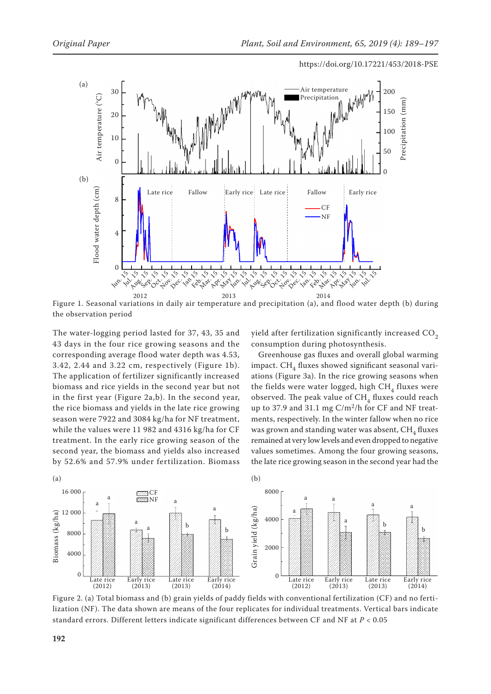

Figure 1. Seasonal variations in daily air temperature and precipitation (a), and flood water depth (b) during the observation period

The water-logging period lasted for 37, 43, 35 and 43 days in the four rice growing seasons and the corresponding average flood water depth was 4.53, 3.42, 2.44 and 3.22 cm, respectively (Figure 1b). The application of fertilizer significantly increased biomass and rice yields in the second year but not in the first year (Figure 2a,b). In the second year, the rice biomass and yields in the late rice growing season were 7922 and 3084 kg/ha for NF treatment, while the values were 11 982 and 4316 kg/ha for CF treatment. In the early rice growing season of the second year, the biomass and yields also increased by 52.6% and 57.9% under fertilization. Biomass yield after fertilization significantly increased  $CO<sub>2</sub>$ consumption during photosynthesis.

Greenhouse gas fluxes and overall global warming impact.  $CH<sub>4</sub>$  fluxes showed significant seasonal variations (Figure 3a). In the rice growing seasons when the fields were water logged, high  $CH<sub>4</sub>$  fluxes were observed. The peak value of  $CH<sub>4</sub>$  fluxes could reach up to 37.9 and 31.1 mg  $C/m^2/h$  for CF and NF treatments, respectively. In the winter fallow when no rice was grown and standing water was absent,  $CH<sub>4</sub>$  fluxes remained at very low levels and even dropped to negative values sometimes. Among the four growing seasons, the late rice growing season in the second year had the



Figure 2. (a) Total biomass and (b) grain yields of paddy fields with conventional fertilization (CF) and no fertilization (NF). The data shown are means of the four replicates for individual treatments. Vertical bars indicate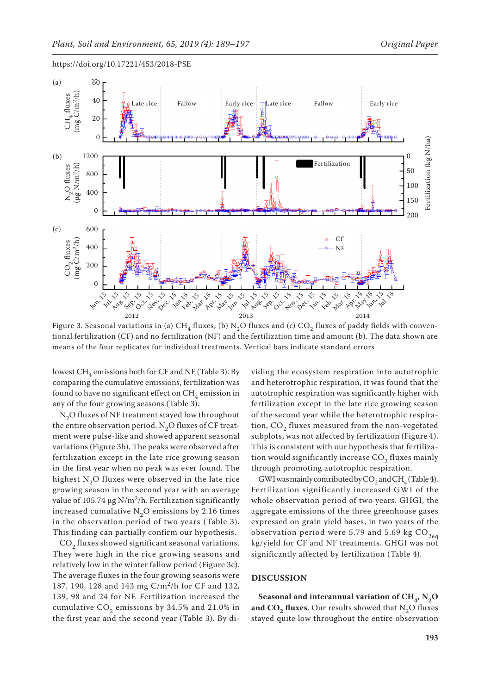

Figure 3. Seasonal variations in (a) CH<sub>4</sub> fluxes; (b) N<sub>2</sub>O fluxes and (c) CO<sub>2</sub> fluxes of paddy fields with conventional fertilization (CF) and no fertilization (NF) and the fertilization time and amount (b). The data shown are

lowest  $CH<sub>A</sub>$  emissions both for CF and NF (Table 3). By comparing the cumulative emissions, fertilization was found to have no significant effect on  $CH<sub>4</sub>$  emission in any of the four growing seasons (Table 3).

N<sub>2</sub>O fluxes of NF treatment stayed low throughout the entire observation period.  $N_2O$  fluxes of CF treatment were pulse-like and showed apparent seasonal variations (Figure 3b). The peaks were observed after fertilization except in the late rice growing season in the first year when no peak was ever found. The highest N<sub>2</sub>O fluxes were observed in the late rice growing season in the second year with an average value of 105.74  $\mu$ g N/m<sup>2</sup>/h. Fertilization significantly increased cumulative  $N_2O$  emissions by 2.16 times in the observation period of two years (Table 3). This finding can partially confirm our hypothesis.

CO<sub>2</sub> fluxes showed significant seasonal variations. They were high in the rice growing seasons and relatively low in the winter fallow period (Figure 3c). The average fluxes in the four growing seasons were 187, 190, 128 and 143 mg C/m2/h for CF and 132, 139, 98 and 24 for NF. Fertilization increased the cumulative  $CO<sub>2</sub>$  emissions by 34.5% and 21.0% in the first year and the second year (Table 3). By dividing the ecosystem respiration into autotrophic and heterotrophic respiration, it was found that the autotrophic respiration was significantly higher with fertilization except in the late rice growing season of the second year while the heterotrophic respiration,  $CO<sub>2</sub>$  fluxes measured from the non-vegetated subplots, was not affected by fertilization (Figure 4). This is consistent with our hypothesis that fertilization would significantly increase  $CO<sub>2</sub>$  fluxes mainly through promoting autotrophic respiration.

GWI was mainly contributed by  $\mathrm{CO}_2$  and  $\mathrm{CH}_4$  (Table 4). Fertilization significantly increased GWI of the whole observation period of two years. GHGI, the aggregate emissions of the three greenhouse gases expressed on grain yield bases, in two years of the observation period were 5.79 and 5.69 kg  $CO_{2eq}$ kg/yield for CF and NF treatments. GHGI was not significantly affected by fertilization (Table 4).

## **DISCUSSION**

Seasonal and interannual variation of  $CH_{4}$ ,  $N_{2}O$ and  $CO<sub>2</sub>$  fluxes. Our results showed that  $N<sub>2</sub>O$  fluxes stayed quite low throughout the entire observation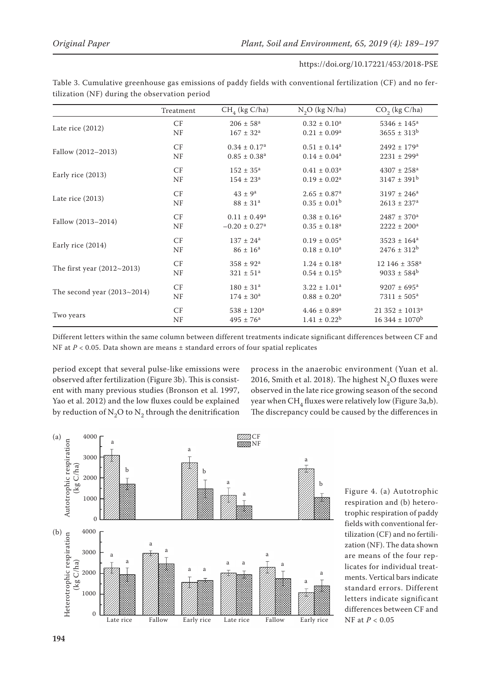|                               | Treatment              | $CH4$ (kg C/ha)               | $N_2O$ (kg $N/ha$ )          | $CO2$ (kg C/ha)                 |
|-------------------------------|------------------------|-------------------------------|------------------------------|---------------------------------|
|                               | CF                     | $206 \pm 58^{\rm a}$          | $0.32 \pm 0.10^a$            | $5346 \pm 145^a$                |
| Late rice (2012)              | NF                     | $167 \pm 32^a$                | $0.21 \pm 0.09^a$            | $3655 \pm 313^b$                |
|                               | CF                     | $0.34 \pm 0.17^a$             | $0.51 \pm 0.14^a$            | $2492 \pm 179$ <sup>a</sup>     |
| Fallow (2012-2013)            | NF                     | $0.85 \pm 0.38$ <sup>a</sup>  | $0.14 \pm 0.04^a$            | $2231 \pm 299^a$                |
|                               | CF                     | $152 \pm 35^{\rm a}$          | $0.41 \pm 0.03^a$            | $4307 \pm 258$ <sup>a</sup>     |
| Early rice (2013)             | NF                     | $154 \pm 23^a$                | $0.19 \pm 0.02^a$            | $3147 \pm 391^b$                |
|                               | $\mathrm{C}\mathrm{F}$ | $43 \pm 9^a$                  | $2.65 \pm 0.87$ <sup>a</sup> | $3197 \pm 246^a$                |
| Late rice (2013)              | NF                     | $88 \pm 31^a$                 | $0.35 \pm 0.01^{\rm b}$      | $2613 \pm 237$ <sup>a</sup>     |
|                               | $\mathrm{C}\mathrm{F}$ | $0.11 \pm 0.49^a$             | $0.38 \pm 0.16^a$            | $2487 \pm 370^a$                |
| Fallow (2013-2014)            | NF                     | $-0.20 \pm 0.27$ <sup>a</sup> | $0.35 \pm 0.18^a$            | $2222 \pm 200^a$                |
|                               | CF                     | $137 \pm 24^a$                | $0.19 \pm 0.05^{\text{a}}$   | $3523 \pm 164^a$                |
| Early rice (2014)             | NF                     | $86 \pm 16^{\rm a}$           | $0.18 \pm 0.10^a$            | $2476 \pm 312^b$                |
|                               | CF                     | $358 \pm 92^{\rm a}$          | $1.24 \pm 0.18^a$            | $12\,146 \pm 358^a$             |
| The first year $(2012~2013)$  | NF                     | $321 \pm 51^a$                | $0.54 \pm 0.15^{\rm b}$      | $9033 \pm 584^b$                |
|                               | CF                     | $180 \pm 31$ <sup>a</sup>     | $3.22 \pm 1.01^a$            | $9207 \pm 695^{\text{a}}$       |
| The second year $(2013~2014)$ | NF                     | $174 \pm 30^{\rm a}$          | $0.88 \pm 0.20^a$            | $7311 \pm 505^a$                |
|                               | CF                     | $538 \pm 120^a$               | $4.46 \pm 0.89$ <sup>a</sup> | $21352 \pm 1013^a$              |
| Two years                     | NF                     | $495 \pm 76^{\rm a}$          | $1.41 \pm 0.22^b$            | $16\,344 \pm 1070$ <sup>b</sup> |

Table 3. Cumulative greenhouse gas emissions of paddy fields with conventional fertilization (CF) and no fertilization (NF) during the observation period

Different letters within the same column between different treatments indicate significant differences between CF and NF at *P* < 0.05. Data shown are means ± standard errors of four spatial replicates

period except that several pulse-like emissions were observed after fertilization (Figure 3b). This is consistent with many previous studies (Bronson et al. 1997, Yao et al. 2012) and the low fluxes could be explained by reduction of  $N_2O$  to  $N_2$  through the denitrification process in the anaerobic environment (Yuan et al. 2016, Smith et al. 2018). The highest  $N_2O$  fluxes were observed in the late rice growing season of the second year when  $CH<sub>4</sub>$  fluxes were relatively low (Figure 3a,b). The discrepancy could be caused by the differences in



Figure 4. (a) Autotrophic respiration and (b) heterotrophic respiration of paddy fields with conventional fertilization (CF) and no fertilization (NF). The data shown are means of the four replicates for individual treatments. Vertical bars indicate standard errors. Different letters indicate significant differences between CF and NF at *P* < 0.05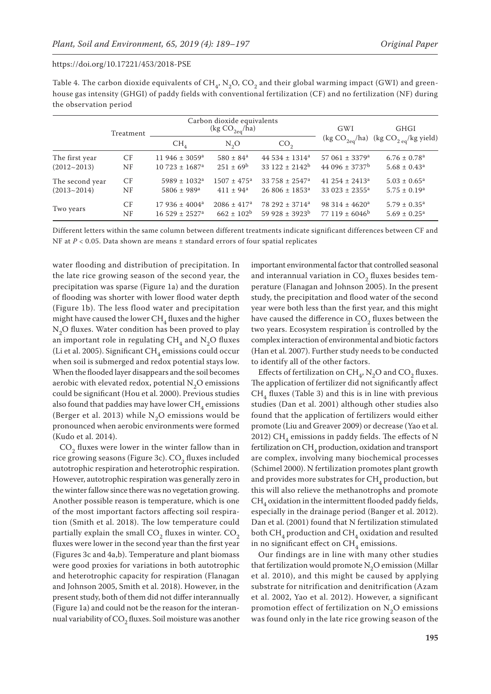| Table 4. The carbon dioxide equivalents of CH,, N,O, CO, and their global warming impact (GWI) and green-        |
|------------------------------------------------------------------------------------------------------------------|
| house gas intensity (GHGI) of paddy fields with conventional fertilization (CF) and no fertilization (NF) during |
| the observation period                                                                                           |
|                                                                                                                  |

|                 | Treatment | Carbon dioxide equivalents<br>(kg $CO_{2eq}/ha$ ) |                             |                                | GWI                            | <b>GHGI</b>                        |
|-----------------|-----------|---------------------------------------------------|-----------------------------|--------------------------------|--------------------------------|------------------------------------|
|                 |           | $CH_{4}$                                          | $N_2O$                      | CO <sub>2</sub>                | (kg $CO_{2eq}/ha$ )            | (kg $CO_{2 \text{ eq}}$ /kg yield) |
| The first year  | CF        | 11 946 ± 3059 <sup>a</sup>                        | $580 \pm 84$ <sup>a</sup>   | 44 534 $\pm$ 1314 <sup>a</sup> | 57 061 $\pm$ 3379 <sup>a</sup> | $6.76 \pm 0.78$ <sup>a</sup>       |
| $(2012 - 2013)$ | NF        | $10\,723 \pm 1687$ <sup>a</sup>                   | $251 \pm 69^{\rm b}$        | $33122 \pm 2142$ <sup>b</sup>  | 44 096 $\pm$ 3737 <sup>b</sup> | $5.68 \pm 0.43$ <sup>a</sup>       |
| The second year | CF        | $5989 \pm 1032$ <sup>a</sup>                      | $1507 \pm 475$ <sup>a</sup> | $33\,758 \pm 2547^{\rm a}$     | 41 254 $\pm$ 2413 <sup>a</sup> | $5.03 \pm 0.65^{\circ}$            |
| $(2013 - 2014)$ | NF        | $5806 \pm 989$ <sup>a</sup>                       | $411 \pm 94^a$              | $26806 \pm 1853$ <sup>a</sup>  | 33 023 $\pm$ 2355 <sup>a</sup> | $5.75 \pm 0.19^{\rm a}$            |
| Two years       | CF        | $17936 \pm 4004^a$                                | $2086 \pm 417$ <sup>a</sup> | 78 292 $\pm$ 3714 <sup>a</sup> | 98 314 $\pm$ 4620 <sup>a</sup> | $5.79 \pm 0.35^{\text{a}}$         |
|                 | NF        | $16.529 \pm 2527$ <sup>a</sup>                    | $662 \pm 102^b$             | $59928 \pm 3923^b$             | $77119 \pm 6046^b$             | $5.69 \pm 0.25^{\text{a}}$         |

Different letters within the same column between different treatments indicate significant differences between CF and NF at *P* < 0.05. Data shown are means ± standard errors of four spatial replicates

water flooding and distribution of precipitation. In the late rice growing season of the second year, the precipitation was sparse (Figure 1a) and the duration of flooding was shorter with lower flood water depth (Figure 1b). The less flood water and precipitation might have caused the lower  $\mathrm{CH}_4$  fluxes and the higher  $N<sub>2</sub>O$  fluxes. Water condition has been proved to play an important role in regulating  $CH<sub>4</sub>$  and N<sub>2</sub>O fluxes (Li et al. 2005). Significant  $\text{CH}_4$  emissions could occur when soil is submerged and redox potential stays low. When the flooded layer disappears and the soil becomes aerobic with elevated redox, potential  $N_2O$  emissions could be significant (Hou et al. 2000). Previous studies also found that paddies may have lower  $\mathrm{CH}_4$  emissions (Berger et al. 2013) while  $N<sub>2</sub>O$  emissions would be pronounced when aerobic environments were formed (Kudo et al. 2014).

 $CO<sub>2</sub>$  fluxes were lower in the winter fallow than in rice growing seasons (Figure 3c).  $CO<sub>2</sub>$  fluxes included autotrophic respiration and heterotrophic respiration. However, autotrophic respiration was generally zero in the winter fallow since there was no vegetation growing. Another possible reason is temperature, which is one of the most important factors affecting soil respiration (Smith et al. 2018). The low temperature could partially explain the small  $CO<sub>2</sub>$  fluxes in winter.  $CO<sub>2</sub>$ fluxes were lower in the second year than the first year (Figures 3c and 4a,b). Temperature and plant biomass were good proxies for variations in both autotrophic and heterotrophic capacity for respiration (Flanagan and Johnson 2005, Smith et al. 2018). However, in the present study, both of them did not differ interannually (Figure 1a) and could not be the reason for the interannual variability of  $\mathrm{CO}_2^{}$  fluxes. Soil moisture was another

important environmental factor that controlled seasonal and interannual variation in  $CO<sub>2</sub>$  fluxes besides temperature (Flanagan and Johnson 2005). In the present study, the precipitation and flood water of the second year were both less than the first year, and this might have caused the difference in  $\mathrm{CO}_2$  fluxes between the two years. Ecosystem respiration is controlled by the complex interaction of environmental and biotic factors (Han et al. 2007). Further study needs to be conducted to identify all of the other factors.

Effects of fertilization on  $\text{CH}_4$ , N<sub>2</sub>O and CO<sub>2</sub> fluxes. The application of fertilizer did not significantly affect  $CH<sub>4</sub>$  fluxes (Table 3) and this is in line with previous studies (Dan et al. 2001) although other studies also found that the application of fertilizers would either promote (Liu and Greaver 2009) or decrease (Yao et al. 2012) CH<sub>4</sub> emissions in paddy fields. The effects of N fertilization on  $\text{CH}_4$  production, oxidation and transport are complex, involving many biochemical processes (Schimel 2000). N fertilization promotes plant growth and provides more substrates for  $CH_4$  production, but this will also relieve the methanotrophs and promote  $CH<sub>4</sub>$  oxidation in the intermittent flooded paddy fields, especially in the drainage period (Banger et al. 2012). Dan et al. (2001) found that N fertilization stimulated both  $CH_4$  production and  $CH_4$  oxidation and resulted in no significant effect on  $\mathrm{CH}_4$  emissions.

Our findings are in line with many other studies that fertilization would promote  $N<sub>2</sub>O$  emission (Millar et al. 2010), and this might be caused by applying substrate for nitrification and denitrification (Azam et al. 2002, Yao et al. 2012). However, a significant promotion effect of fertilization on  $N_2O$  emissions was found only in the late rice growing season of the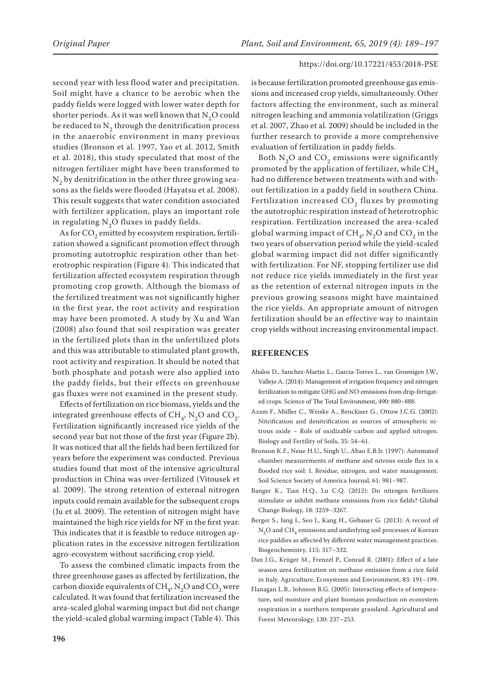second year with less flood water and precipitation. Soil might have a chance to be aerobic when the paddy fields were logged with lower water depth for shorter periods. As it was well known that  $N_2O$  could be reduced to  $N<sub>2</sub>$  through the denitrification process in the anaerobic environment in many previous studies (Bronson et al. 1997, Yao et al. 2012, Smith et al. 2018), this study speculated that most of the nitrogen fertilizer might have been transformed to  $N<sub>2</sub>$  by denitrification in the other three growing seasons as the fields were flooded (Hayatsu et al. 2008). This result suggests that water condition associated with fertilizer application, plays an important role in regulating  $N_2O$  fluxes in paddy fields.

As for  $CO<sub>2</sub>$  emitted by ecosystem respiration, fertilization showed a significant promotion effect through promoting autotrophic respiration other than heterotrophic respiration (Figure 4). This indicated that fertilization affected ecosystem respiration through promoting crop growth. Although the biomass of the fertilized treatment was not significantly higher in the first year, the root activity and respiration may have been promoted. A study by Xu and Wan (2008) also found that soil respiration was greater in the fertilized plots than in the unfertilized plots and this was attributable to stimulated plant growth, root activity and respiration. It should be noted that both phosphate and potash were also applied into the paddy fields, but their effects on greenhouse gas fluxes were not examined in the present study.

Effects of fertilization on rice biomass, yields and the integrated greenhouse effects of  $CH<sub>4</sub>$ , N<sub>2</sub>O and CO<sub>2</sub>. Fertilization significantly increased rice yields of the second year but not those of the first year (Figure 2b). It was noticed that all the fields had been fertilized for years before the experiment was conducted. Previous studies found that most of the intensive agricultural production in China was over-fertilized (Vitousek et al. 2009). The strong retention of external nitrogen inputs could remain available for the subsequent crops (Ju et al. 2009). The retention of nitrogen might have maintained the high rice yields for NF in the first year. This indicates that it is feasible to reduce nitrogen application rates in the excessive nitrogen fertilization agro-ecosystem without sacrificing crop yield.

To assess the combined climatic impacts from the three greenhouse gases as affected by fertilization, the carbon dioxide equivalents of  $CH<sub>a</sub>$ , N<sub>2</sub>O and CO<sub>2</sub> were calculated. It was found that fertilization increased the area-scaled global warming impact but did not change the yield-scaled global warming impact (Table 4). This

is because fertilization promoted greenhouse gas emissions and increased crop yields, simultaneously. Other factors affecting the environment, such as mineral nitrogen leaching and ammonia volatilization (Griggs et al. 2007, Zhao et al. 2009) should be included in the further research to provide a more comprehensive evaluation of fertilization in paddy fields.

Both  $N_2O$  and  $CO_2$  emissions were significantly promoted by the application of fertilizer, while  $CH<sub>4</sub>$ had no difference between treatments with and without fertilization in a paddy field in southern China. Fertilization increased  $CO<sub>2</sub>$  fluxes by promoting the autotrophic respiration instead of heterotrophic respiration. Fertilization increased the area-scaled global warming impact of  $CH<sub>a</sub>$ , N<sub>2</sub>O and CO<sub>2</sub> in the two years of observation period while the yield-scaled global warming impact did not differ significantly with fertilization. For NF, stopping fertilizer use did not reduce rice yields immediately in the first year as the retention of external nitrogen inputs in the previous growing seasons might have maintained the rice yields. An appropriate amount of nitrogen fertilization should be an effective way to maintain crop yields without increasing environmental impact.

# **REFERENCES**

- Abalos D., Sanchez-Martin L., Garcia-Torres L., van Groenigen J.W., Vallejo A. (2014): Management of irrigation frequency and nitrogen fertilization to mitigate GHG and NO emissions from drip-fertigated crops. Science of The Total Environment, 490: 880–888.
- Azam F., Müller C., Weiske A., Benckiser G., Ottow J.C.G. (2002): Nitrification and denitrification as sources of atmospheric nitrous oxide – Role of oxidizable carbon and applied nitrogen. Biology and Fertility of Soils, 35: 54–61.
- Bronson K.F., Neue H.U., Singh U., Abao E.B.Jr. (1997): Automated chamber measurements of methane and nitrous oxide flux in a flooded rice soil: I. Residue, nitrogen, and water management. Soil Science Society of America Journal, 61: 981–987.
- Banger K., Tian H.Q., Lu C.Q. (2012): Do nitrogen fertilizers stimulate or inhibit methane emissions from rice fields? Global Change Biology, 18: 3259–3267.
- Berger S., Jang I., Seo J., Kang H., Gebauer G. (2013): A record of N<sub>2</sub>O and CH<sub>4</sub> emissions and underlying soil processes of Korean rice paddies as affected by different water management practices. Biogeochemistry, 115: 317–332.
- Dan J.G., Krüger M., Frenzel P., Conrad R. (2001): Effect of a late season urea fertilization on methane emission from a rice field in Italy. Agriculture, Ecosystems and Environment, 83: 191–199.
- Flanagan L.B., Johnson B.G. (2005): Interacting effects of temperature, soil moisture and plant biomass production on ecosystem respiration in a northern temperate grassland. Agricultural and Forest Meteorology, 130: 237–253.